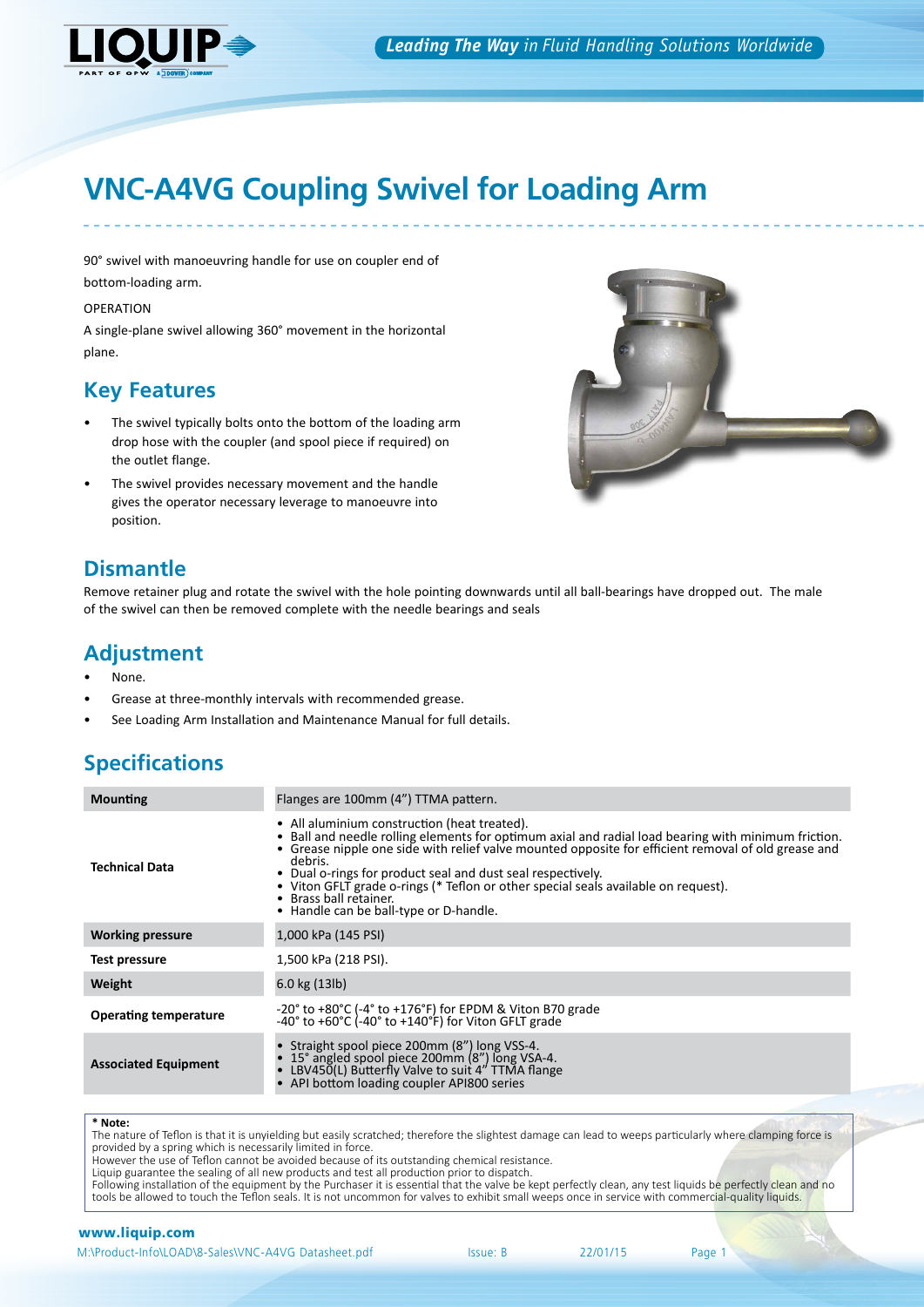

# **VNC-A4VG Coupling Swivel for Loading Arm**

90° swivel with manoeuvring handle for use on coupler end of bottom-loading arm.

OPERATION

A single-plane swivel allowing 360° movement in the horizontal plane.

# **Key Features**

- The swivel typically bolts onto the bottom of the loading arm drop hose with the coupler (and spool piece if required) on the outlet flange.
- The swivel provides necessary movement and the handle gives the operator necessary leverage to manoeuvre into position.

# **Dismantle**

Remove retainer plug and rotate the swivel with the hole pointing downwards until all ball-bearings have dropped out. The male of the swivel can then be removed complete with the needle bearings and seals

## **Adjustment**

- None.
- Grease at three-monthly intervals with recommended grease.
- See Loading Arm Installation and Maintenance Manual for full details.

# **Specifications**

| <b>Mounting</b>              | Flanges are 100mm (4") TTMA pattern.                                                                                                                                                                                                                                                                                                                                                                                                                                                           |
|------------------------------|------------------------------------------------------------------------------------------------------------------------------------------------------------------------------------------------------------------------------------------------------------------------------------------------------------------------------------------------------------------------------------------------------------------------------------------------------------------------------------------------|
| <b>Technical Data</b>        | • All aluminium construction (heat treated).<br>• Ball and needle rolling elements for optimum axial and radial load bearing with minimum friction.<br>• Grease nipple one side with relief valve mounted opposite for efficient removal of old grease and<br>debris.<br>• Dual o-rings for product seal and dust seal respectively.<br>• Viton GFLT grade o-rings (* Teflon or other special seals available on request).<br>• Brass ball retainer.<br>• Handle can be ball-type or D-handle. |
| <b>Working pressure</b>      | 1,000 kPa (145 PSI)                                                                                                                                                                                                                                                                                                                                                                                                                                                                            |
| Test pressure                | 1,500 kPa (218 PSI).                                                                                                                                                                                                                                                                                                                                                                                                                                                                           |
| Weight                       | $6.0$ kg $(13$ lb)                                                                                                                                                                                                                                                                                                                                                                                                                                                                             |
| <b>Operating temperature</b> | $-20^{\circ}$ to $+80^{\circ}$ C ( $-4^{\circ}$ to $+176^{\circ}$ F) for EPDM & Viton B70 grade<br>$-40^{\circ}$ to $+60^{\circ}$ C ( $-40^{\circ}$ to $+140^{\circ}$ F) for Viton GFLT grade                                                                                                                                                                                                                                                                                                  |
| <b>Associated Equipment</b>  | Straight spool piece 200mm (8") long VSS-4.<br>15° angled spool piece 200mm (8") long VSA-4.<br>LBV450(L) Butterfly Valve to suit 4" TTMA flange<br>API bottom loading coupler API800 series                                                                                                                                                                                                                                                                                                   |

#### **\* Note:**

The nature of Teflon is that it is unyielding but easily scratched; therefore the slightest damage can lead to weeps particularly where clamping force is provided by a spring which is necessarily limited in force.

However the use of Teflon cannot be avoided because of its outstanding chemical resistance.

Liquip guarantee the sealing of all new products and test all production prior to dispatch.

Following installation of the equipment by the Purchaser it is essential that the valve be kept perfectly clean, any test liquids be perfectly clean and no tools be allowed to touch the Teflon seals. It is not uncommon for valves to exhibit small weeps once in service with commercial-quality liquids.

### www.liquip.com